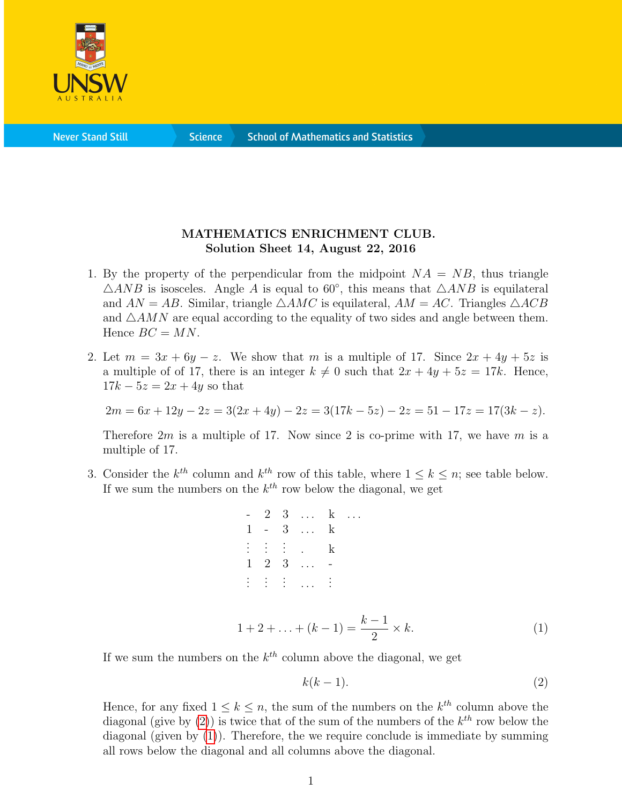

**Science** 

## MATHEMATICS ENRICHMENT CLUB. Solution Sheet 14, August 22, 2016

- 1. By the property of the perpendicular from the midpoint  $NA = NB$ , thus triangle  $\triangle ANB$  is isosceles. Angle A is equal to 60°, this means that  $\triangle ANB$  is equilateral and  $AN = AB$ . Similar, triangle  $\triangle AMC$  is equilateral,  $AM = AC$ . Triangles  $\triangle ACB$ and  $\triangle AMN$  are equal according to the equality of two sides and angle between them. Hence  $BC = MN$ .
- 2. Let  $m = 3x + 6y z$ . We show that m is a multiple of 17. Since  $2x + 4y + 5z$  is a multiple of of 17, there is an integer  $k \neq 0$  such that  $2x + 4y + 5z = 17k$ . Hence,  $17k - 5z = 2x + 4y$  so that

$$
2m = 6x + 12y - 2z = 3(2x + 4y) - 2z = 3(17k - 5z) - 2z = 51 - 17z = 17(3k - z).
$$

Therefore  $2m$  is a multiple of 17. Now since 2 is co-prime with 17, we have m is a multiple of 17.

3. Consider the  $k^{th}$  column and  $k^{th}$  row of this table, where  $1 \leq k \leq n$ ; see table below. If we sum the numbers on the  $k^{th}$  row below the diagonal, we get

|  | $-23 k$                          |   |  |
|--|----------------------------------|---|--|
|  | $1 - 3  k$                       |   |  |
|  | <b>F. H. H. L.</b>               | k |  |
|  | $1 \quad 2 \quad 3 \quad \ldots$ |   |  |
|  | $\mathbb{R}^n$ is defined as     |   |  |

<span id="page-0-1"></span>
$$
1 + 2 + \ldots + (k - 1) = \frac{k - 1}{2} \times k. \tag{1}
$$

If we sum the numbers on the  $k^{th}$  column above the diagonal, we get

<span id="page-0-0"></span>
$$
k(k-1). \tag{2}
$$

Hence, for any fixed  $1 \leq k \leq n$ , the sum of the numbers on the  $k^{th}$  column above the diagonal (give by  $(2)$ ) is twice that of the sum of the numbers of the  $k^{th}$  row below the diagonal (given by  $(1)$ ). Therefore, the we require conclude is immediate by summing all rows below the diagonal and all columns above the diagonal.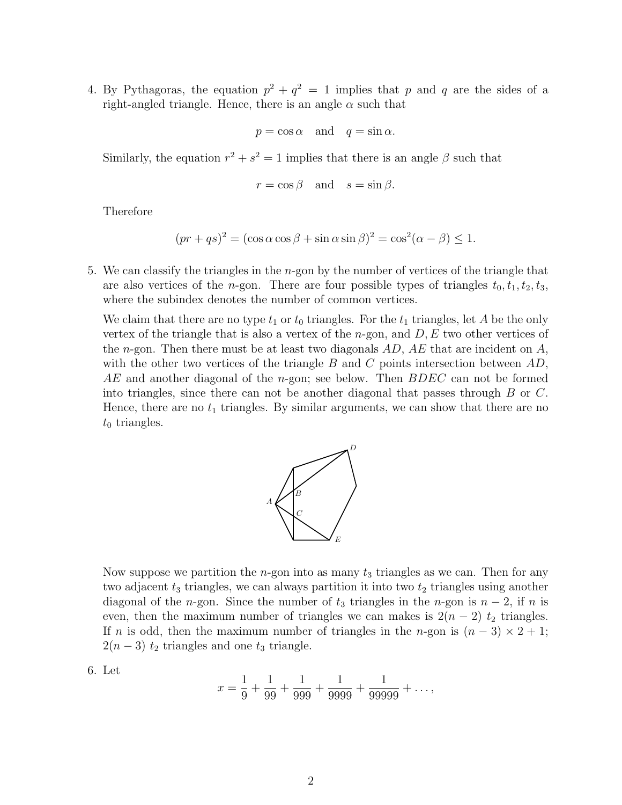4. By Pythagoras, the equation  $p^2 + q^2 = 1$  implies that p and q are the sides of a right-angled triangle. Hence, there is an angle  $\alpha$  such that

$$
p = \cos \alpha \quad \text{and} \quad q = \sin \alpha.
$$

Similarly, the equation  $r^2 + s^2 = 1$  implies that there is an angle  $\beta$  such that

$$
r = \cos \beta
$$
 and  $s = \sin \beta$ .

Therefore

$$
(pr+qs)^{2} = (\cos \alpha \cos \beta + \sin \alpha \sin \beta)^{2} = \cos^{2}(\alpha - \beta) \le 1.
$$

5. We can classify the triangles in the n-gon by the number of vertices of the triangle that are also vertices of the *n*-gon. There are four possible types of triangles  $t_0, t_1, t_2, t_3$ , where the subindex denotes the number of common vertices.

We claim that there are no type  $t_1$  or  $t_0$  triangles. For the  $t_1$  triangles, let A be the only vertex of the triangle that is also a vertex of the  $n$ -gon, and  $D, E$  two other vertices of the *n*-gon. Then there must be at least two diagonals  $AD$ ,  $AE$  that are incident on  $A$ , with the other two vertices of the triangle  $B$  and  $C$  points intersection between  $AD$ ,  $AE$  and another diagonal of the *n*-gon; see below. Then  $BDEC$  can not be formed into triangles, since there can not be another diagonal that passes through B or C. Hence, there are no  $t_1$  triangles. By similar arguments, we can show that there are no  $t_0$  triangles.



Now suppose we partition the *n*-gon into as many  $t_3$  triangles as we can. Then for any two adjacent  $t_3$  triangles, we can always partition it into two  $t_2$  triangles using another diagonal of the n-gon. Since the number of  $t_3$  triangles in the n-gon is  $n-2$ , if n is even, then the maximum number of triangles we can makes is  $2(n-2)$  t<sub>2</sub> triangles. If n is odd, then the maximum number of triangles in the n-gon is  $(n-3) \times 2 + 1$ ;  $2(n-3)$  t<sub>2</sub> triangles and one t<sub>3</sub> triangle.

6. Let

$$
x = \frac{1}{9} + \frac{1}{99} + \frac{1}{999} + \frac{1}{9999} + \frac{1}{99999} + \dots,
$$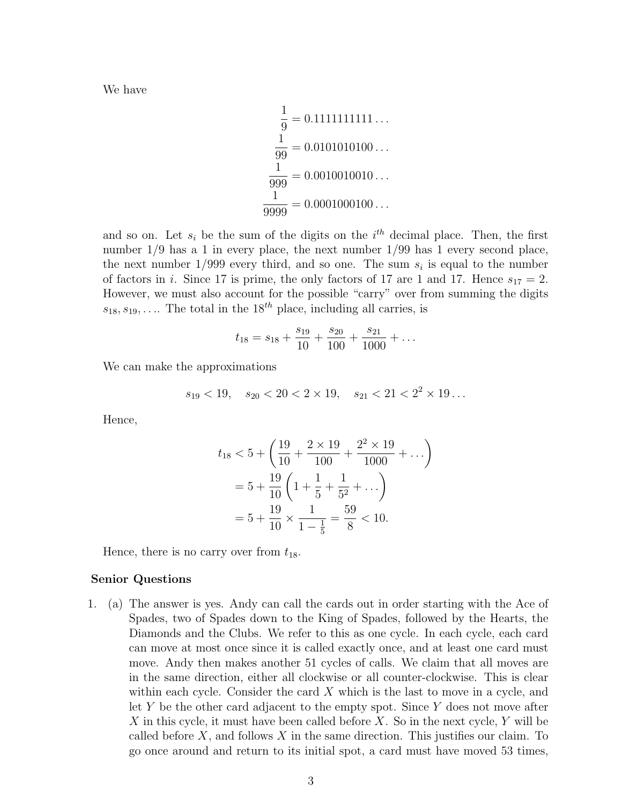We have

$$
\frac{1}{9} = 0.1111111111...
$$
  

$$
\frac{1}{99} = 0.0101010100...
$$
  

$$
\frac{1}{999} = 0.0010010010...
$$
  

$$
\frac{1}{9999} = 0.0001000100...
$$

and so on. Let  $s_i$  be the sum of the digits on the  $i<sup>th</sup>$  decimal place. Then, the first number  $1/9$  has a 1 in every place, the next number  $1/99$  has 1 every second place, the next number  $1/999$  every third, and so one. The sum  $s_i$  is equal to the number of factors in i. Since 17 is prime, the only factors of 17 are 1 and 17. Hence  $s_{17} = 2$ . However, we must also account for the possible "carry" over from summing the digits  $s_{18}, s_{19}, \ldots$  The total in the  $18^{th}$  place, including all carries, is

$$
t_{18} = s_{18} + \frac{s_{19}}{10} + \frac{s_{20}}{100} + \frac{s_{21}}{1000} + \dots
$$

We can make the approximations

$$
s_{19} < 19
$$
,  $s_{20} < 20 < 2 \times 19$ ,  $s_{21} < 21 < 2^2 \times 19$ ...

Hence,

$$
t_{18} < 5 + \left(\frac{19}{10} + \frac{2 \times 19}{100} + \frac{2^2 \times 19}{1000} + \dots\right)
$$
\n
$$
= 5 + \frac{19}{10} \left(1 + \frac{1}{5} + \frac{1}{5^2} + \dots\right)
$$
\n
$$
= 5 + \frac{19}{10} \times \frac{1}{1 - \frac{1}{5}} = \frac{59}{8} < 10.
$$

Hence, there is no carry over from  $t_{18}$ .

## Senior Questions

1. (a) The answer is yes. Andy can call the cards out in order starting with the Ace of Spades, two of Spades down to the King of Spades, followed by the Hearts, the Diamonds and the Clubs. We refer to this as one cycle. In each cycle, each card can move at most once since it is called exactly once, and at least one card must move. Andy then makes another 51 cycles of calls. We claim that all moves are in the same direction, either all clockwise or all counter-clockwise. This is clear within each cycle. Consider the card  $X$  which is the last to move in a cycle, and let Y be the other card adjacent to the empty spot. Since Y does not move after X in this cycle, it must have been called before  $X$ . So in the next cycle, Y will be called before  $X$ , and follows  $X$  in the same direction. This justifies our claim. To go once around and return to its initial spot, a card must have moved 53 times,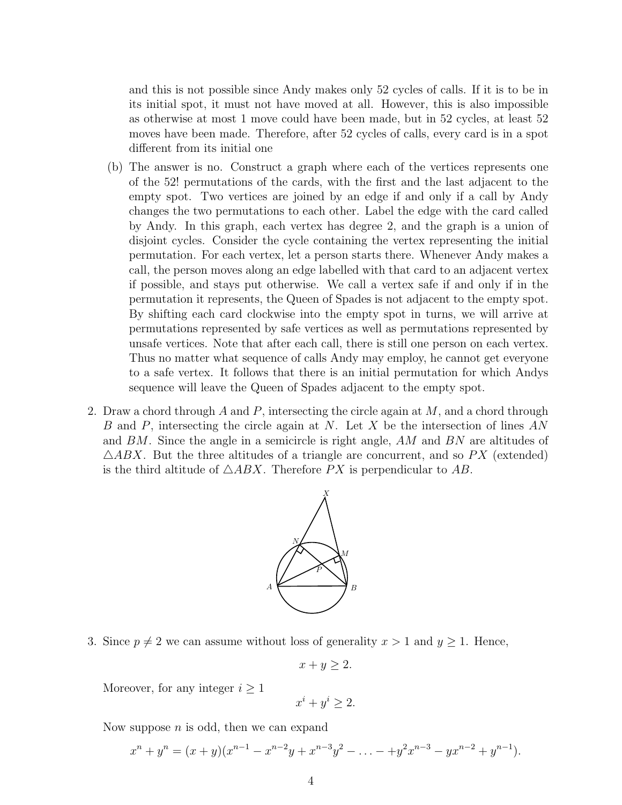and this is not possible since Andy makes only 52 cycles of calls. If it is to be in its initial spot, it must not have moved at all. However, this is also impossible as otherwise at most 1 move could have been made, but in 52 cycles, at least 52 moves have been made. Therefore, after 52 cycles of calls, every card is in a spot different from its initial one

- (b) The answer is no. Construct a graph where each of the vertices represents one of the 52! permutations of the cards, with the first and the last adjacent to the empty spot. Two vertices are joined by an edge if and only if a call by Andy changes the two permutations to each other. Label the edge with the card called by Andy. In this graph, each vertex has degree 2, and the graph is a union of disjoint cycles. Consider the cycle containing the vertex representing the initial permutation. For each vertex, let a person starts there. Whenever Andy makes a call, the person moves along an edge labelled with that card to an adjacent vertex if possible, and stays put otherwise. We call a vertex safe if and only if in the permutation it represents, the Queen of Spades is not adjacent to the empty spot. By shifting each card clockwise into the empty spot in turns, we will arrive at permutations represented by safe vertices as well as permutations represented by unsafe vertices. Note that after each call, there is still one person on each vertex. Thus no matter what sequence of calls Andy may employ, he cannot get everyone to a safe vertex. It follows that there is an initial permutation for which Andys sequence will leave the Queen of Spades adjacent to the empty spot.
- 2. Draw a chord through A and P, intersecting the circle again at  $M$ , and a chord through B and P, intersecting the circle again at N. Let X be the intersection of lines  $AN$ and BM. Since the angle in a semicircle is right angle, AM and BN are altitudes of  $\triangle ABX$ . But the three altitudes of a triangle are concurrent, and so PX (extended) is the third altitude of  $\triangle ABX$ . Therefore PX is perpendicular to AB.



3. Since  $p \neq 2$  we can assume without loss of generality  $x > 1$  and  $y \geq 1$ . Hence,

$$
x + y \ge 2.
$$

Moreover, for any integer  $i \geq 1$ 

$$
x^i + y^i \ge 2.
$$

Now suppose  $n$  is odd, then we can expand

$$
x^{n} + y^{n} = (x + y)(x^{n-1} - x^{n-2}y + x^{n-3}y^{2} - \ldots - y^{2}x^{n-3} - yx^{n-2} + y^{n-1}).
$$